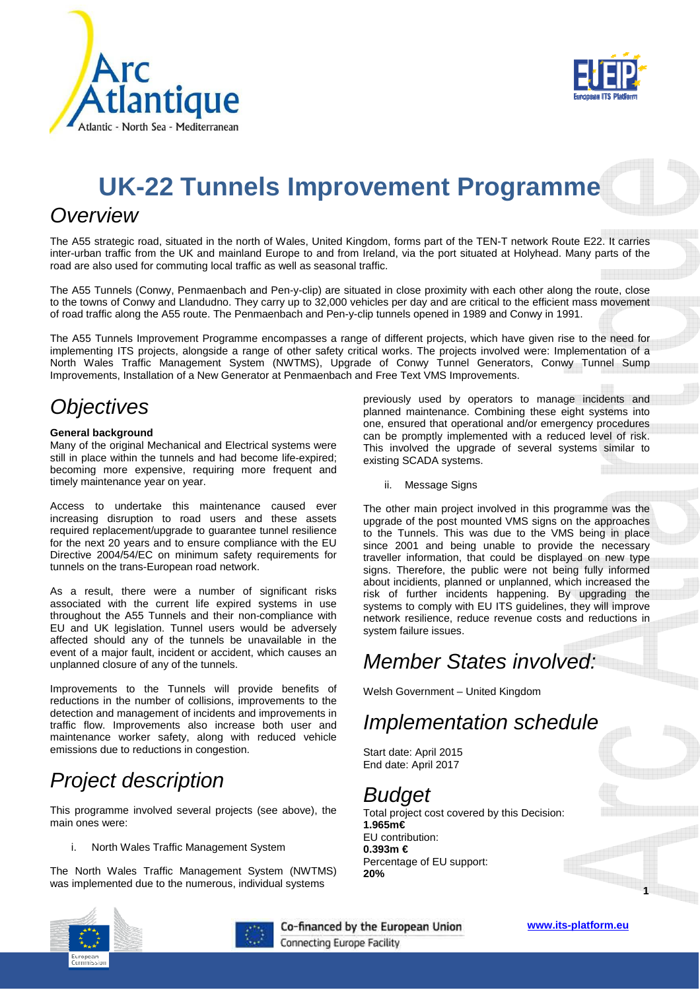



# **UK-22 Tunnels Improvement Programme**

#### **Overview**

The A55 strategic road, situated in the north of Wales, United Kingdom, forms part of the TEN-T network Route E22. It carries inter-urban traffic from the UK and mainland Europe to and from Ireland, via the port situated at Holyhead. Many parts of the road are also used for commuting local traffic as well as seasonal traffic.

The A55 Tunnels (Conwy, Penmaenbach and Pen-y-clip) are situated in close proximity with each other along the route, close to the towns of Conwy and Llandudno. They carry up to 32,000 vehicles per day and are critical to the efficient mass movement of road traffic along the A55 route. The Penmaenbach and Pen-y-clip tunnels opened in 1989 and Conwy in 1991.

The A55 Tunnels Improvement Programme encompasses a range of different projects, which have given rise to the need for implementing ITS projects, alongside a range of other safety critical works. The projects involved were: Implementation of a North Wales Traffic Management System (NWTMS), Upgrade of Conwy Tunnel Generators, Conwy Tunnel Sump Improvements, Installation of a New Generator at Penmaenbach and Free Text VMS Improvements.

## **Objectives**

#### **General background**

Many of the original Mechanical and Electrical systems were still in place within the tunnels and had become life-expired; becoming more expensive, requiring more frequent and timely maintenance year on year.

Access to undertake this maintenance caused ever increasing disruption to road users and these assets required replacement/upgrade to guarantee tunnel resilience for the next 20 years and to ensure compliance with the EU Directive 2004/54/EC on minimum safety requirements for tunnels on the trans-European road network.

As a result, there were a number of significant risks associated with the current life expired systems in use throughout the A55 Tunnels and their non-compliance with EU and UK legislation. Tunnel users would be adversely affected should any of the tunnels be unavailable in the event of a major fault, incident or accident, which causes an unplanned closure of any of the tunnels.

Improvements to the Tunnels will provide benefits of reductions in the number of collisions, improvements to the detection and management of incidents and improvements in traffic flow. Improvements also increase both user and maintenance worker safety, along with reduced vehicle emissions due to reductions in congestion.

## Project description

This programme involved several projects (see above), the main ones were:

i. North Wales Traffic Management System

The North Wales Traffic Management System (NWTMS) was implemented due to the numerous, individual systems





Co-financed by the European Union Connecting Europe Facility



**1**

previously used by operators to manage incidents and planned maintenance. Combining these eight systems into one, ensured that operational and/or emergency procedures can be promptly implemented with a reduced level of risk. This involved the upgrade of several systems similar to existing SCADA systems.

ii. Message Signs

The other main project involved in this programme was the upgrade of the post mounted VMS signs on the approaches to the Tunnels. This was due to the VMS being in place since 2001 and being unable to provide the necessary traveller information, that could be displayed on new type signs. Therefore, the public were not being fully informed about incidients, planned or unplanned, which increased the risk of further incidents happening. By upgrading the systems to comply with EU ITS guidelines, they will improve network resilience, reduce revenue costs and reductions in system failure issues.

# Member States involved:

Welsh Government – United Kingdom

## Implementation schedule

Start date: April 2015 End date: April 2017

## Budget

Total project cost covered by this Decision: **1.965m€**  EU contribution: **0.393m €**  Percentage of EU support: **20%**